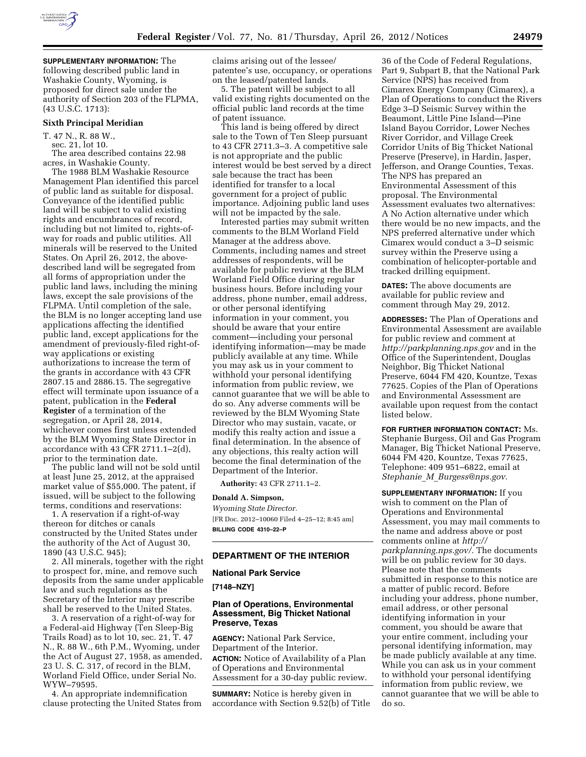

**SUPPLEMENTARY INFORMATION:** The following described public land in Washakie County, Wyoming, is proposed for direct sale under the authority of Section 203 of the FLPMA, (43 U.S.C. 1713):

### **Sixth Principal Meridian**

T. 47 N., R. 88 W.,

sec. 21, lot 10.

The area described contains 22.98 acres, in Washakie County.

The 1988 BLM Washakie Resource Management Plan identified this parcel of public land as suitable for disposal. Conveyance of the identified public land will be subject to valid existing rights and encumbrances of record, including but not limited to, rights-ofway for roads and public utilities. All minerals will be reserved to the United States. On April 26, 2012, the abovedescribed land will be segregated from all forms of appropriation under the public land laws, including the mining laws, except the sale provisions of the FLPMA. Until completion of the sale, the BLM is no longer accepting land use applications affecting the identified public land, except applications for the amendment of previously-filed right-ofway applications or existing authorizations to increase the term of the grants in accordance with 43 CFR 2807.15 and 2886.15. The segregative effect will terminate upon issuance of a patent, publication in the **Federal Register** of a termination of the segregation, or April 28, 2014, whichever comes first unless extended by the BLM Wyoming State Director in accordance with 43 CFR 2711.1–2(d), prior to the termination date.

The public land will not be sold until at least June 25, 2012, at the appraised market value of \$55,000. The patent, if issued, will be subject to the following terms, conditions and reservations:

1. A reservation if a right-of-way thereon for ditches or canals constructed by the United States under the authority of the Act of August 30, 1890 (43 U.S.C. 945);

2. All minerals, together with the right to prospect for, mine, and remove such deposits from the same under applicable law and such regulations as the Secretary of the Interior may prescribe shall be reserved to the United States.

3. A reservation of a right-of-way for a Federal-aid Highway (Ten Sleep-Big Trails Road) as to lot 10, sec. 21, T. 47 N., R. 88 W., 6th P.M., Wyoming, under the Act of August 27, 1958, as amended, 23 U. S. C. 317, of record in the BLM, Worland Field Office, under Serial No. WYW–79595.

4. An appropriate indemnification clause protecting the United States from claims arising out of the lessee/ patentee's use, occupancy, or operations on the leased/patented lands.

5. The patent will be subject to all valid existing rights documented on the official public land records at the time of patent issuance.

This land is being offered by direct sale to the Town of Ten Sleep pursuant to 43 CFR 2711.3–3. A competitive sale is not appropriate and the public interest would be best served by a direct sale because the tract has been identified for transfer to a local government for a project of public importance. Adjoining public land uses will not be impacted by the sale.

Interested parties may submit written comments to the BLM Worland Field Manager at the address above. Comments, including names and street addresses of respondents, will be available for public review at the BLM Worland Field Office during regular business hours. Before including your address, phone number, email address, or other personal identifying information in your comment, you should be aware that your entire comment—including your personal identifying information—may be made publicly available at any time. While you may ask us in your comment to withhold your personal identifying information from public review, we cannot guarantee that we will be able to do so. Any adverse comments will be reviewed by the BLM Wyoming State Director who may sustain, vacate, or modify this realty action and issue a final determination. In the absence of any objections, this realty action will become the final determination of the Department of the Interior.

**Authority:** 43 CFR 2711.1–2.

#### **Donald A. Simpson,**

*Wyoming State Director.*  [FR Doc. 2012–10060 Filed 4–25–12; 8:45 am] **BILLING CODE 4310–22–P** 

### **DEPARTMENT OF THE INTERIOR**

**National Park Service** 

**[7148–NZY]** 

### **Plan of Operations, Environmental Assessment, Big Thicket National Preserve, Texas**

**AGENCY:** National Park Service, Department of the Interior. **ACTION:** Notice of Availability of a Plan of Operations and Environmental Assessment for a 30-day public review.

**SUMMARY:** Notice is hereby given in accordance with Section 9.52(b) of Title

36 of the Code of Federal Regulations, Part 9, Subpart B, that the National Park Service (NPS) has received from Cimarex Energy Company (Cimarex), a Plan of Operations to conduct the Rivers Edge 3–D Seismic Survey within the Beaumont, Little Pine Island—Pine Island Bayou Corridor, Lower Neches River Corridor, and Village Creek Corridor Units of Big Thicket National Preserve (Preserve), in Hardin, Jasper, Jefferson, and Orange Counties, Texas. The NPS has prepared an Environmental Assessment of this proposal. The Environmental Assessment evaluates two alternatives: A No Action alternative under which there would be no new impacts, and the NPS preferred alternative under which Cimarex would conduct a 3–D seismic survey within the Preserve using a combination of helicopter-portable and tracked drilling equipment.

**DATES:** The above documents are available for public review and comment through May 29, 2012.

**ADDRESSES:** The Plan of Operations and Environmental Assessment are available for public review and comment at *<http://parkplanning.nps.gov>*and in the Office of the Superintendent, Douglas Neighbor, Big Thicket National Preserve, 6044 FM 420, Kountze, Texas 77625. Copies of the Plan of Operations and Environmental Assessment are available upon request from the contact listed below.

**FOR FURTHER INFORMATION CONTACT:** Ms. Stephanie Burgess, Oil and Gas Program Manager, Big Thicket National Preserve, 6044 FM 420, Kountze, Texas 77625, Telephone: 409 951–6822, email at *Stephanie*\_*M*\_*[Burgess@nps.gov.](mailto:Stephanie_M_Burgess@nps.gov)* 

**SUPPLEMENTARY INFORMATION:** If you wish to comment on the Plan of Operations and Environmental Assessment, you may mail comments to the name and address above or post comments online at *[http://](http://parkplanning.nps.gov/) [parkplanning.nps.gov/.](http://parkplanning.nps.gov/)* The documents will be on public review for 30 days. Please note that the comments submitted in response to this notice are a matter of public record. Before including your address, phone number, email address, or other personal identifying information in your comment, you should be aware that your entire comment, including your personal identifying information, may be made publicly available at any time. While you can ask us in your comment to withhold your personal identifying information from public review, we cannot guarantee that we will be able to do so.